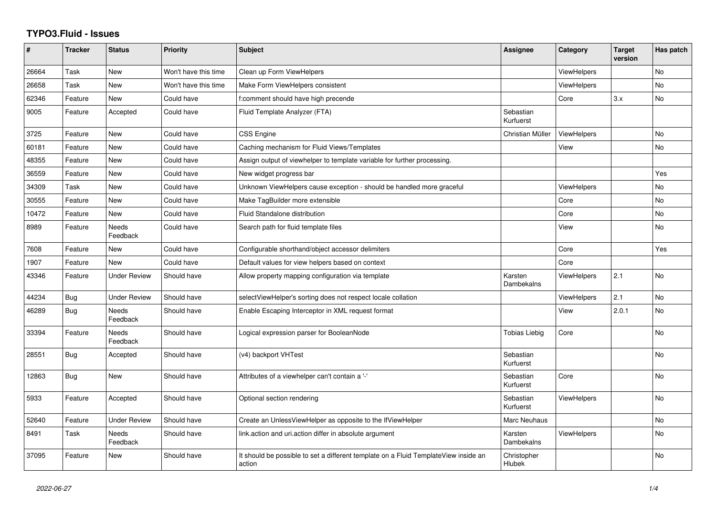## **TYPO3.Fluid - Issues**

| ∦     | <b>Tracker</b> | <b>Status</b>            | Priority             | Subject                                                                                       | Assignee               | Category           | <b>Target</b><br>version | Has patch      |
|-------|----------------|--------------------------|----------------------|-----------------------------------------------------------------------------------------------|------------------------|--------------------|--------------------------|----------------|
| 26664 | Task           | <b>New</b>               | Won't have this time | Clean up Form ViewHelpers                                                                     |                        | <b>ViewHelpers</b> |                          | <b>No</b>      |
| 26658 | Task           | New                      | Won't have this time | Make Form ViewHelpers consistent                                                              |                        | <b>ViewHelpers</b> |                          | No             |
| 62346 | Feature        | New                      | Could have           | f:comment should have high precende                                                           |                        | Core               | 3.x                      | No             |
| 9005  | Feature        | Accepted                 | Could have           | Fluid Template Analyzer (FTA)                                                                 | Sebastian<br>Kurfuerst |                    |                          |                |
| 3725  | Feature        | New                      | Could have           | <b>CSS Engine</b>                                                                             | Christian Müller       | <b>ViewHelpers</b> |                          | No             |
| 60181 | Feature        | New                      | Could have           | Caching mechanism for Fluid Views/Templates                                                   |                        | View               |                          | No             |
| 48355 | Feature        | New                      | Could have           | Assign output of viewhelper to template variable for further processing.                      |                        |                    |                          |                |
| 36559 | Feature        | <b>New</b>               | Could have           | New widget progress bar                                                                       |                        |                    |                          | Yes            |
| 34309 | Task           | New                      | Could have           | Unknown ViewHelpers cause exception - should be handled more graceful                         |                        | <b>ViewHelpers</b> |                          | No             |
| 30555 | Feature        | New                      | Could have           | Make TagBuilder more extensible                                                               |                        | Core               |                          | No             |
| 10472 | Feature        | New                      | Could have           | Fluid Standalone distribution                                                                 |                        | Core               |                          | No             |
| 8989  | Feature        | Needs<br>Feedback        | Could have           | Search path for fluid template files                                                          |                        | View               |                          | No             |
| 7608  | Feature        | New                      | Could have           | Configurable shorthand/object accessor delimiters                                             |                        | Core               |                          | Yes            |
| 1907  | Feature        | <b>New</b>               | Could have           | Default values for view helpers based on context                                              |                        | Core               |                          |                |
| 43346 | Feature        | <b>Under Review</b>      | Should have          | Allow property mapping configuration via template                                             | Karsten<br>Dambekalns  | <b>ViewHelpers</b> | 2.1                      | No.            |
| 44234 | Bug            | <b>Under Review</b>      | Should have          | selectViewHelper's sorting does not respect locale collation                                  |                        | <b>ViewHelpers</b> | 2.1                      | N <sub>o</sub> |
| 46289 | Bug            | Needs<br>Feedback        | Should have          | Enable Escaping Interceptor in XML request format                                             |                        | View               | 2.0.1                    | No             |
| 33394 | Feature        | <b>Needs</b><br>Feedback | Should have          | Logical expression parser for BooleanNode                                                     | <b>Tobias Liebig</b>   | Core               |                          | No.            |
| 28551 | Bug            | Accepted                 | Should have          | (v4) backport VHTest                                                                          | Sebastian<br>Kurfuerst |                    |                          | No             |
| 12863 | <b>Bug</b>     | New                      | Should have          | Attributes of a viewhelper can't contain a '-'                                                | Sebastian<br>Kurfuerst | Core               |                          | No             |
| 5933  | Feature        | Accepted                 | Should have          | Optional section rendering                                                                    | Sebastian<br>Kurfuerst | <b>ViewHelpers</b> |                          | <b>No</b>      |
| 52640 | Feature        | Under Review             | Should have          | Create an UnlessViewHelper as opposite to the IfViewHelper                                    | Marc Neuhaus           |                    |                          | No             |
| 8491  | Task           | <b>Needs</b><br>Feedback | Should have          | link.action and uri.action differ in absolute argument                                        | Karsten<br>Dambekalns  | <b>ViewHelpers</b> |                          | No             |
| 37095 | Feature        | New                      | Should have          | It should be possible to set a different template on a Fluid TemplateView inside an<br>action | Christopher<br>Hlubek  |                    |                          | No             |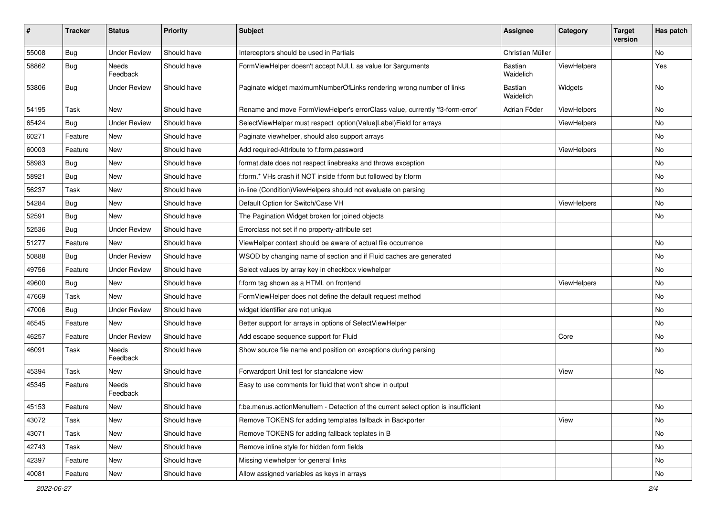| #     | <b>Tracker</b> | <b>Status</b>            | <b>Priority</b> | Subject                                                                            | Assignee                    | Category    | <b>Target</b><br>version | Has patch |
|-------|----------------|--------------------------|-----------------|------------------------------------------------------------------------------------|-----------------------------|-------------|--------------------------|-----------|
| 55008 | Bug            | <b>Under Review</b>      | Should have     | Interceptors should be used in Partials                                            | Christian Müller            |             |                          | <b>No</b> |
| 58862 | Bug            | Needs<br>Feedback        | Should have     | FormViewHelper doesn't accept NULL as value for \$arguments                        | Bastian<br>Waidelich        | ViewHelpers |                          | Yes       |
| 53806 | Bug            | Under Review             | Should have     | Paginate widget maximumNumberOfLinks rendering wrong number of links               | <b>Bastian</b><br>Waidelich | Widgets     |                          | <b>No</b> |
| 54195 | Task           | New                      | Should have     | Rename and move FormViewHelper's errorClass value, currently 'f3-form-error'       | Adrian Föder                | ViewHelpers |                          | No        |
| 65424 | Bug            | <b>Under Review</b>      | Should have     | SelectViewHelper must respect option(Value Label)Field for arrays                  |                             | ViewHelpers |                          | No        |
| 60271 | Feature        | New                      | Should have     | Paginate viewhelper, should also support arrays                                    |                             |             |                          | No        |
| 60003 | Feature        | New                      | Should have     | Add required-Attribute to f:form.password                                          |                             | ViewHelpers |                          | No        |
| 58983 | Bug            | New                      | Should have     | format.date does not respect linebreaks and throws exception                       |                             |             |                          | No        |
| 58921 | Bug            | New                      | Should have     | f:form.* VHs crash if NOT inside f:form but followed by f:form                     |                             |             |                          | No        |
| 56237 | Task           | New                      | Should have     | in-line (Condition) ViewHelpers should not evaluate on parsing                     |                             |             |                          | No        |
| 54284 | Bug            | New                      | Should have     | Default Option for Switch/Case VH                                                  |                             | ViewHelpers |                          | No        |
| 52591 | Bug            | <b>New</b>               | Should have     | The Pagination Widget broken for joined objects                                    |                             |             |                          | No        |
| 52536 | Bug            | <b>Under Review</b>      | Should have     | Errorclass not set if no property-attribute set                                    |                             |             |                          |           |
| 51277 | Feature        | New                      | Should have     | ViewHelper context should be aware of actual file occurrence                       |                             |             |                          | No        |
| 50888 | Bug            | <b>Under Review</b>      | Should have     | WSOD by changing name of section and if Fluid caches are generated                 |                             |             |                          | <b>No</b> |
| 49756 | Feature        | <b>Under Review</b>      | Should have     | Select values by array key in checkbox viewhelper                                  |                             |             |                          | No        |
| 49600 | Bug            | New                      | Should have     | f:form tag shown as a HTML on frontend                                             |                             | ViewHelpers |                          | <b>No</b> |
| 47669 | Task           | New                      | Should have     | FormViewHelper does not define the default request method                          |                             |             |                          | No        |
| 47006 | Bug            | <b>Under Review</b>      | Should have     | widget identifier are not unique                                                   |                             |             |                          | No        |
| 46545 | Feature        | New                      | Should have     | Better support for arrays in options of SelectViewHelper                           |                             |             |                          | No        |
| 46257 | Feature        | <b>Under Review</b>      | Should have     | Add escape sequence support for Fluid                                              |                             | Core        |                          | No        |
| 46091 | Task           | Needs<br>Feedback        | Should have     | Show source file name and position on exceptions during parsing                    |                             |             |                          | No        |
| 45394 | Task           | New                      | Should have     | Forwardport Unit test for standalone view                                          |                             | View        |                          | No        |
| 45345 | Feature        | <b>Needs</b><br>Feedback | Should have     | Easy to use comments for fluid that won't show in output                           |                             |             |                          |           |
| 45153 | Feature        | New                      | Should have     | f:be.menus.actionMenuItem - Detection of the current select option is insufficient |                             |             |                          | No        |
| 43072 | Task           | New                      | Should have     | Remove TOKENS for adding templates fallback in Backporter                          |                             | View        |                          | No        |
| 43071 | Task           | New                      | Should have     | Remove TOKENS for adding fallback teplates in B                                    |                             |             |                          | No        |
| 42743 | Task           | New                      | Should have     | Remove inline style for hidden form fields                                         |                             |             |                          | No        |
| 42397 | Feature        | New                      | Should have     | Missing viewhelper for general links                                               |                             |             |                          | No        |
| 40081 | Feature        | New                      | Should have     | Allow assigned variables as keys in arrays                                         |                             |             |                          | No        |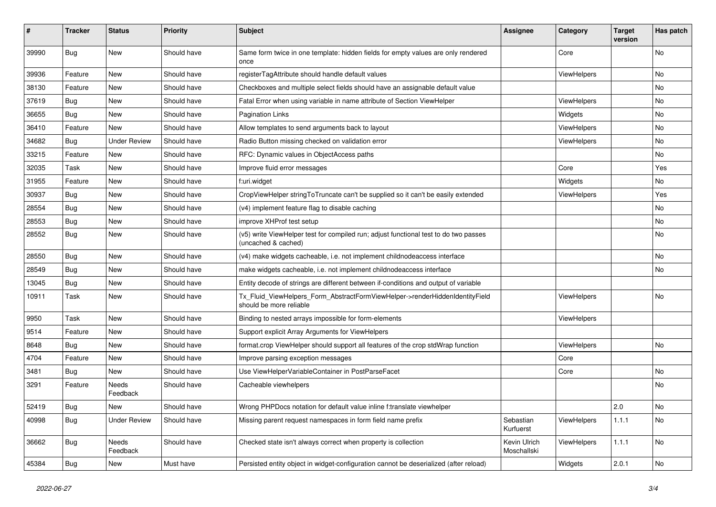| #     | <b>Tracker</b> | <b>Status</b>            | <b>Priority</b> | Subject                                                                                                     | <b>Assignee</b>             | Category           | <b>Target</b><br>version | Has patch |
|-------|----------------|--------------------------|-----------------|-------------------------------------------------------------------------------------------------------------|-----------------------------|--------------------|--------------------------|-----------|
| 39990 | Bug            | New                      | Should have     | Same form twice in one template: hidden fields for empty values are only rendered<br>once                   |                             | Core               |                          | No        |
| 39936 | Feature        | New                      | Should have     | registerTagAttribute should handle default values                                                           |                             | ViewHelpers        |                          | No        |
| 38130 | Feature        | New                      | Should have     | Checkboxes and multiple select fields should have an assignable default value                               |                             |                    |                          | No        |
| 37619 | <b>Bug</b>     | New                      | Should have     | Fatal Error when using variable in name attribute of Section ViewHelper                                     |                             | ViewHelpers        |                          | No        |
| 36655 | <b>Bug</b>     | New                      | Should have     | <b>Pagination Links</b>                                                                                     |                             | Widgets            |                          | No        |
| 36410 | Feature        | New                      | Should have     | Allow templates to send arguments back to layout                                                            |                             | ViewHelpers        |                          | No        |
| 34682 | <b>Bug</b>     | <b>Under Review</b>      | Should have     | Radio Button missing checked on validation error                                                            |                             | ViewHelpers        |                          | No.       |
| 33215 | Feature        | New                      | Should have     | RFC: Dynamic values in ObjectAccess paths                                                                   |                             |                    |                          | No        |
| 32035 | Task           | New                      | Should have     | Improve fluid error messages                                                                                |                             | Core               |                          | Yes       |
| 31955 | Feature        | New                      | Should have     | f:uri.widget                                                                                                |                             | Widgets            |                          | No        |
| 30937 | <b>Bug</b>     | New                      | Should have     | CropViewHelper stringToTruncate can't be supplied so it can't be easily extended                            |                             | ViewHelpers        |                          | Yes       |
| 28554 | <b>Bug</b>     | New                      | Should have     | (v4) implement feature flag to disable caching                                                              |                             |                    |                          | No        |
| 28553 | Bug            | New                      | Should have     | improve XHProf test setup                                                                                   |                             |                    |                          | No        |
| 28552 | Bug            | New                      | Should have     | (v5) write ViewHelper test for compiled run; adjust functional test to do two passes<br>(uncached & cached) |                             |                    |                          | No        |
| 28550 | Bug            | New                      | Should have     | (v4) make widgets cacheable, i.e. not implement childnodeaccess interface                                   |                             |                    |                          | No        |
| 28549 | <b>Bug</b>     | New                      | Should have     | make widgets cacheable, i.e. not implement childnodeaccess interface                                        |                             |                    |                          | No        |
| 13045 | <b>Bug</b>     | New                      | Should have     | Entity decode of strings are different between if-conditions and output of variable                         |                             |                    |                          |           |
| 10911 | Task           | New                      | Should have     | Tx_Fluid_ViewHelpers_Form_AbstractFormViewHelper->renderHiddenIdentityField<br>should be more reliable      |                             | ViewHelpers        |                          | No        |
| 9950  | Task           | New                      | Should have     | Binding to nested arrays impossible for form-elements                                                       |                             | ViewHelpers        |                          |           |
| 9514  | Feature        | New                      | Should have     | Support explicit Array Arguments for ViewHelpers                                                            |                             |                    |                          |           |
| 8648  | <b>Bug</b>     | New                      | Should have     | format.crop ViewHelper should support all features of the crop stdWrap function                             |                             | ViewHelpers        |                          | No        |
| 4704  | Feature        | New                      | Should have     | Improve parsing exception messages                                                                          |                             | Core               |                          |           |
| 3481  | Bug            | New                      | Should have     | Use ViewHelperVariableContainer in PostParseFacet                                                           |                             | Core               |                          | No        |
| 3291  | Feature        | <b>Needs</b><br>Feedback | Should have     | Cacheable viewhelpers                                                                                       |                             |                    |                          | No        |
| 52419 | <b>Bug</b>     | New                      | Should have     | Wrong PHPDocs notation for default value inline f:translate viewhelper                                      |                             |                    | 2.0                      | No        |
| 40998 | Bug            | <b>Under Review</b>      | Should have     | Missing parent request namespaces in form field name prefix                                                 | Sebastian<br>Kurfuerst      | <b>ViewHelpers</b> | 1.1.1                    | No.       |
| 36662 | Bug            | Needs<br>Feedback        | Should have     | Checked state isn't always correct when property is collection                                              | Kevin Ulrich<br>Moschallski | ViewHelpers        | 1.1.1                    | No        |
| 45384 | Bug            | New                      | Must have       | Persisted entity object in widget-configuration cannot be deserialized (after reload)                       |                             | Widgets            | 2.0.1                    | No        |